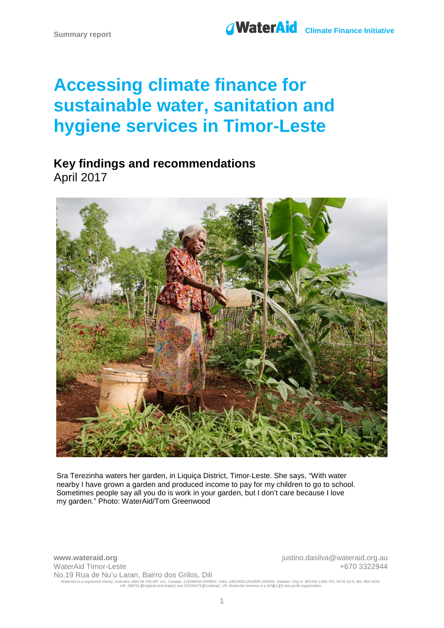# Summary report **CONSERVIATE SUMMARK CLIMATE Finance Initiative**

# **Accessing climate finance for sustainable water, sanitation and hygiene services in Timor-Leste**

# **Key findings and recommendations** April 2017



Sra Terezinha waters her garden, in Liquiça District, Timor-Leste. She says, "With water nearby I have grown a garden and produced income to pay for my children to go to school. Sometimes people say all you do is work in your garden, but I don't care because I love my garden." Photo: WaterAid/Tom Greenwood

**www.wateraid.org** justino.dasilva@wateraid.org.au WaterAid Timor-Leste No.19 Rua de Nu'u Laran, Bairro dos Grilos, Dili +670 3322944 WaterAid is a registered charity: Australia: ABN 99 700 687 141. Canada: 119288934 RR0001. India: U85100DL2010NPL200169. Sweden: Org.nr: 802426-1268, PG: 90 01 62-9, BG: 900-1629.<br>UK: 288701 En: 288701 (England and Wales)

1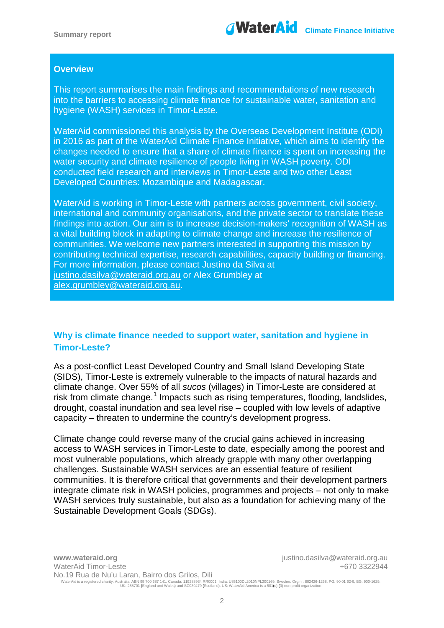

#### **Overview**

This report summarises the main findings and recommendations of new research into the barriers to accessing climate finance for sustainable water, sanitation and hygiene (WASH) services in Timor-Leste.

WaterAid commissioned this analysis by the Overseas Development Institute (ODI) in 2016 as part of the WaterAid Climate Finance Initiative, which aims to identify the changes needed to ensure that a share of climate finance is spent on increasing the water security and climate resilience of people living in WASH poverty. ODI conducted field research and interviews in Timor-Leste and two other Least Developed Countries: Mozambique and Madagascar.

WaterAid is working in Timor-Leste with partners across government, civil society, international and community organisations, and the private sector to translate these findings into action. Our aim is to increase decision-makers' recognition of WASH as a vital building block in adapting to climate change and increase the resilience of communities. We welcome new partners interested in supporting this mission by contributing technical expertise, research capabilities, capacity building or financing. For more information, please contact Justino da Silva at [justino.dasilva@wateraid.org.au](mailto:justino.dasilva@wateraid.org.au) or Alex Grumbley at alex.grumbley@wateraid.org.au.

# **Why is climate finance needed to support water, sanitation and hygiene in Timor-Leste?**

As a post-conflict Least Developed Country and Small Island Developing State (SIDS), Timor-Leste is extremely vulnerable to the impacts of natural hazards and climate change. Over 55% of all *sucos* (villages) in Timor-Leste are considered at risk from climate change.<sup>[1](#page-7-0)</sup> Impacts such as rising temperatures, flooding, landslides, drought, coastal inundation and sea level rise – coupled with low levels of adaptive capacity – threaten to undermine the country's development progress.

Climate change could reverse many of the crucial gains achieved in increasing access to WASH services in Timor-Leste to date, especially among the poorest and most vulnerable populations, which already grapple with many other overlapping challenges. Sustainable WASH services are an essential feature of resilient communities. It is therefore critical that governments and their development partners integrate climate risk in WASH policies, programmes and projects – not only to make WASH services truly sustainable, but also as a foundation for achieving many of the Sustainable Development Goals (SDGs).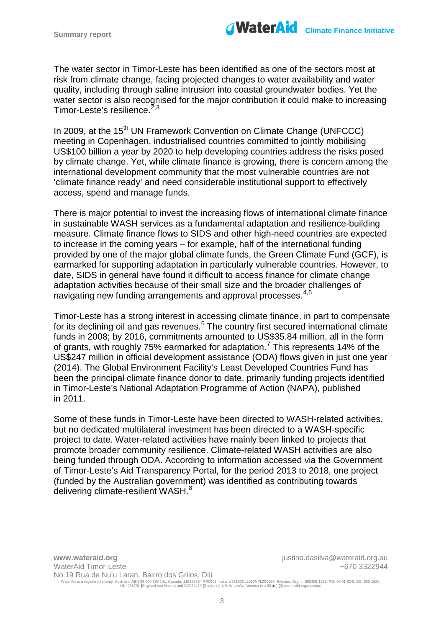

The water sector in Timor-Leste has been identified as one of the sectors most at risk from climate change, facing projected changes to water availability and water quality, including through saline intrusion into coastal groundwater bodies. Yet the water sector is also recognised for the major contribution it could make to increasing Timor-Leste's resilience.<sup>[2,](#page-7-1)[3](#page-7-2)</sup>

In 2009, at the 15<sup>th</sup> UN Framework Convention on Climate Change (UNFCCC) meeting in Copenhagen, industrialised countries committed to jointly mobilising US\$100 billion a year by 2020 to help developing countries address the risks posed by climate change. Yet, while climate finance is growing, there is concern among the international development community that the most vulnerable countries are not 'climate finance ready' and need considerable institutional support to effectively access, spend and manage funds.

There is major potential to invest the increasing flows of international climate finance in sustainable WASH services as a fundamental adaptation and resilience-building measure. Climate finance flows to SIDS and other high-need countries are expected to increase in the coming years – for example, half of the international funding provided by one of the major global climate funds, the Green Climate Fund (GCF), is earmarked for supporting adaptation in particularly vulnerable countries. However, to date, SIDS in general have found it difficult to access finance for climate change adaptation activities because of their small size and the broader challenges of navigating new funding arrangements and approval processes.<sup>[4](#page-7-3),[5](#page-7-4)</sup>

Timor-Leste has a strong interest in accessing climate finance, in part to compensate for its declining oil and gas revenues.<sup>[6](#page-7-5)</sup> The country first secured international climate funds in 2008; by 2016, commitments amounted to US\$35.84 million, all in the form of grants, with roughly [7](#page-7-6)5% earmarked for adaptation.<sup>7</sup> This represents 14% of the US\$247 million in official development assistance (ODA) flows given in just one year (2014). The Global Environment Facility's Least Developed Countries Fund has been the principal climate finance donor to date, primarily funding projects identified in Timor-Leste's National Adaptation Programme of Action (NAPA), published in 2011.

Some of these funds in Timor-Leste have been directed to WASH-related activities, but no dedicated multilateral investment has been directed to a WASH-specific project to date. Water-related activities have mainly been linked to projects that promote broader community resilience. Climate-related WASH activities are also being funded through ODA. According to information accessed via the Government of Timor-Leste's Aid Transparency Portal, for the period 2013 to 2018, one project (funded by the Australian government) was identified as contributing towards delivering climate-resilient WASH.<sup>[8](#page-7-7)</sup>

**www.wateraid.org** justino.dasilva@wateraid.org.au WaterAid Timor-Leste No.19 Rua de Nu'u Laran, Bairro dos Grilos, Dili +670 3322944 WaterAid is a registered charity: Australia: ABN 99 700 687 141. Canada: 119288934 RR0001. India: U85100DL2010NPL200169. Sweden: Org.nr: 802426-1268, PG: 90 01 62-9, BG: 900-1629.<br>UK: 288701 En: 288701 (England and Wales)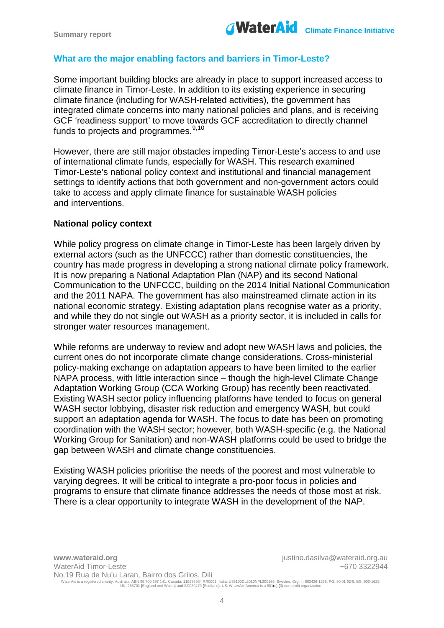

## **What are the major enabling factors and barriers in Timor-Leste?**

Some important building blocks are already in place to support increased access to climate finance in Timor-Leste. In addition to its existing experience in securing climate finance (including for WASH-related activities), the government has integrated climate concerns into many national policies and plans, and is receiving GCF 'readiness support' to move towards GCF accreditation to directly channel funds to projects and programmes.<sup>[9](#page-7-8),[10](#page-7-9)</sup>

However, there are still major obstacles impeding Timor-Leste's access to and use of international climate funds, especially for WASH. This research examined Timor-Leste's national policy context and institutional and financial management settings to identify actions that both government and non-government actors could take to access and apply climate finance for sustainable WASH policies and interventions.

#### **National policy context**

While policy progress on climate change in Timor-Leste has been largely driven by external actors (such as the UNFCCC) rather than domestic constituencies, the country has made progress in developing a strong national climate policy framework. It is now preparing a National Adaptation Plan (NAP) and its second National Communication to the UNFCCC, building on the 2014 Initial National Communication and the 2011 NAPA. The government has also mainstreamed climate action in its national economic strategy. Existing adaptation plans recognise water as a priority, and while they do not single out WASH as a priority sector, it is included in calls for stronger water resources management.

While reforms are underway to review and adopt new WASH laws and policies, the current ones do not incorporate climate change considerations. Cross-ministerial policy-making exchange on adaptation appears to have been limited to the earlier NAPA process, with little interaction since – though the high-level Climate Change Adaptation Working Group (CCA Working Group) has recently been reactivated. Existing WASH sector policy influencing platforms have tended to focus on general WASH sector lobbying, disaster risk reduction and emergency WASH, but could support an adaptation agenda for WASH. The focus to date has been on promoting coordination with the WASH sector; however, both WASH-specific (e.g. the National Working Group for Sanitation) and non-WASH platforms could be used to bridge the gap between WASH and climate change constituencies.

Existing WASH policies prioritise the needs of the poorest and most vulnerable to varying degrees. It will be critical to integrate a pro-poor focus in policies and programs to ensure that climate finance addresses the needs of those most at risk. There is a clear opportunity to integrate WASH in the development of the NAP.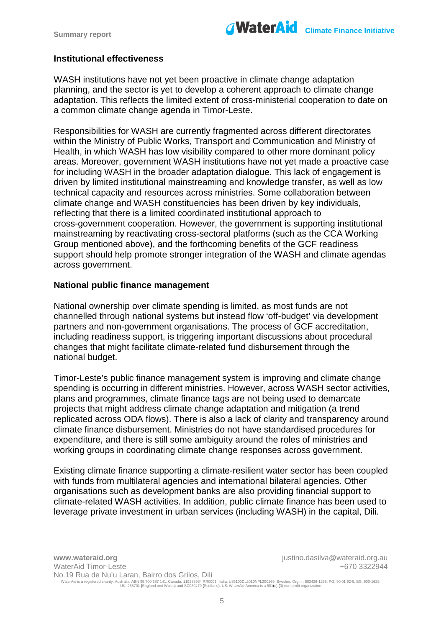

#### **Institutional effectiveness**

WASH institutions have not yet been proactive in climate change adaptation planning, and the sector is yet to develop a coherent approach to climate change adaptation. This reflects the limited extent of cross-ministerial cooperation to date on a common climate change agenda in Timor-Leste.

Responsibilities for WASH are currently fragmented across different directorates within the Ministry of Public Works, Transport and Communication and Ministry of Health, in which WASH has low visibility compared to other more dominant policy areas. Moreover, government WASH institutions have not yet made a proactive case for including WASH in the broader adaptation dialogue. This lack of engagement is driven by limited institutional mainstreaming and knowledge transfer, as well as low technical capacity and resources across ministries. Some collaboration between climate change and WASH constituencies has been driven by key individuals, reflecting that there is a limited coordinated institutional approach to cross-government cooperation. However, the government is supporting institutional mainstreaming by reactivating cross-sectoral platforms (such as the CCA Working Group mentioned above), and the forthcoming benefits of the GCF readiness support should help promote stronger integration of the WASH and climate agendas across government.

#### **National public finance management**

National ownership over climate spending is limited, as most funds are not channelled through national systems but instead flow 'off-budget' via development partners and non-government organisations. The process of GCF accreditation, including readiness support, is triggering important discussions about procedural changes that might facilitate climate-related fund disbursement through the national budget.

Timor-Leste's public finance management system is improving and climate change spending is occurring in different ministries. However, across WASH sector activities, plans and programmes, climate finance tags are not being used to demarcate projects that might address climate change adaptation and mitigation (a trend replicated across ODA flows). There is also a lack of clarity and transparency around climate finance disbursement. Ministries do not have standardised procedures for expenditure, and there is still some ambiguity around the roles of ministries and working groups in coordinating climate change responses across government.

Existing climate finance supporting a climate-resilient water sector has been coupled with funds from multilateral agencies and international bilateral agencies. Other organisations such as development banks are also providing financial support to climate-related WASH activities. In addition, public climate finance has been used to leverage private investment in urban services (including WASH) in the capital, Dili.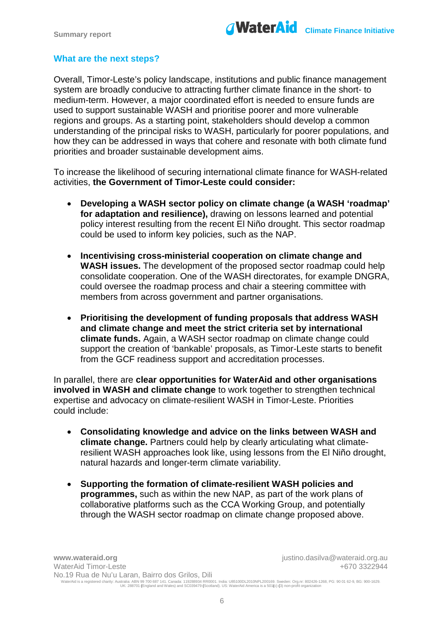### **What are the next steps?**

Overall, Timor-Leste's policy landscape, institutions and public finance management system are broadly conducive to attracting further climate finance in the short- to medium-term. However, a major coordinated effort is needed to ensure funds are used to support sustainable WASH and prioritise poorer and more vulnerable regions and groups. As a starting point, stakeholders should develop a common understanding of the principal risks to WASH, particularly for poorer populations, and how they can be addressed in ways that cohere and resonate with both climate fund priorities and broader sustainable development aims.

To increase the likelihood of securing international climate finance for WASH-related activities, **the Government of Timor-Leste could consider:**

- **Developing a WASH sector policy on climate change (a WASH 'roadmap' for adaptation and resilience),** drawing on lessons learned and potential policy interest resulting from the recent El Niño drought. This sector roadmap could be used to inform key policies, such as the NAP.
- **Incentivising cross-ministerial cooperation on climate change and WASH issues.** The development of the proposed sector roadmap could help consolidate cooperation. One of the WASH directorates, for example DNGRA, could oversee the roadmap process and chair a steering committee with members from across government and partner organisations.
- **Prioritising the development of funding proposals that address WASH and climate change and meet the strict criteria set by international climate funds.** Again, a WASH sector roadmap on climate change could support the creation of 'bankable' proposals, as Timor-Leste starts to benefit from the GCF readiness support and accreditation processes.

In parallel, there are **clear opportunities for WaterAid and other organisations involved in WASH and climate change** to work together to strengthen technical expertise and advocacy on climate-resilient WASH in Timor-Leste. Priorities could include:

- **Consolidating knowledge and advice on the links between WASH and climate change.** Partners could help by clearly articulating what climateresilient WASH approaches look like, using lessons from the El Niño drought, natural hazards and longer-term climate variability.
- **Supporting the formation of climate-resilient WASH policies and programmes,** such as within the new NAP, as part of the work plans of collaborative platforms such as the CCA Working Group, and potentially through the WASH sector roadmap on climate change proposed above.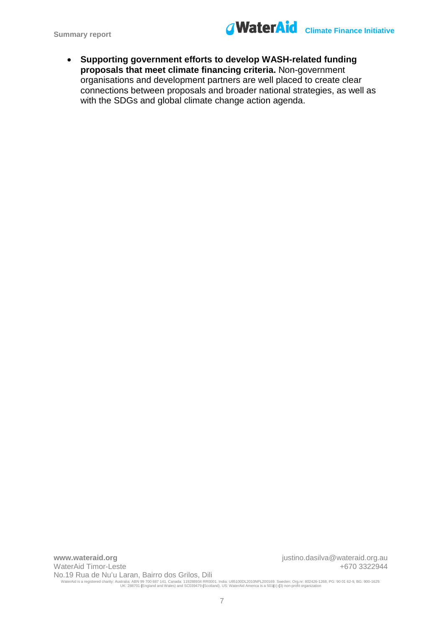

• **Supporting government efforts to develop WASH-related funding proposals that meet climate financing criteria.** Non-government organisations and development partners are well placed to create clear connections between proposals and broader national strategies, as well as with the SDGs and global climate change action agenda.

**www.wateraid.org** justino.dasilva@wateraid.org.au WaterAid Timor-Leste No.19 Rua de Nu'u Laran, Bairro dos Grilos, Dili +670 3322944 WaterAid is a registered charity: Australia: ABN 99 700 687 141. Canada: 119288934 RR0001. India: U85100DL2010NPL200169. Sweden: Org.nr: 802426-1268, PG: 90 01 62-9, BG: 900-1629.<br>UK: 288701 En: 288701 (England and Wales)